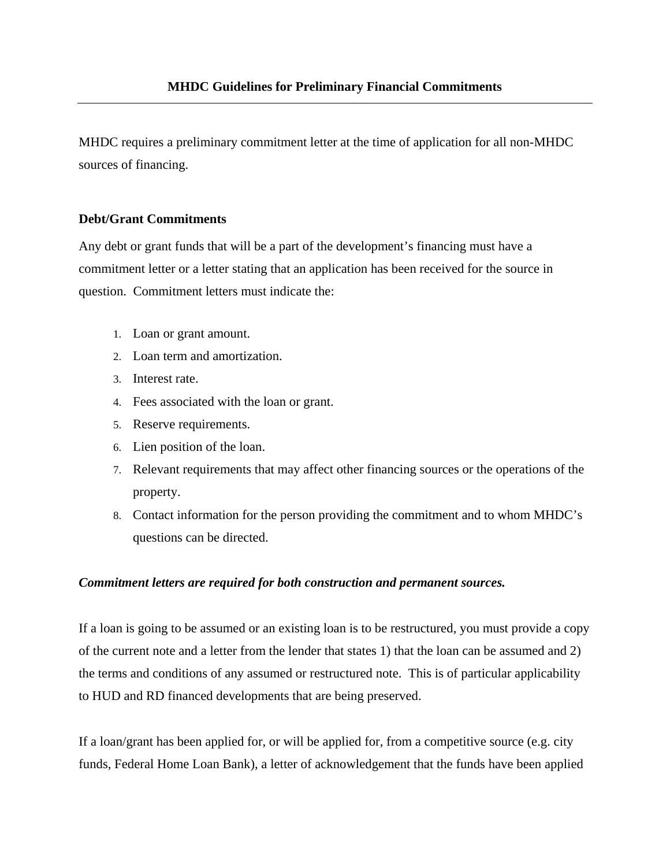MHDC requires a preliminary commitment letter at the time of application for all non-MHDC sources of financing.

## **Debt/Grant Commitments**

Any debt or grant funds that will be a part of the development's financing must have a commitment letter or a letter stating that an application has been received for the source in question. Commitment letters must indicate the:

- 1. Loan or grant amount.
- 2. Loan term and amortization.
- 3. Interest rate.
- 4. Fees associated with the loan or grant.
- 5. Reserve requirements.
- 6. Lien position of the loan.
- 7. Relevant requirements that may affect other financing sources or the operations of the property.
- 8. Contact information for the person providing the commitment and to whom MHDC's questions can be directed.

## *Commitment letters are required for both construction and permanent sources.*

If a loan is going to be assumed or an existing loan is to be restructured, you must provide a copy of the current note and a letter from the lender that states 1) that the loan can be assumed and 2) the terms and conditions of any assumed or restructured note. This is of particular applicability to HUD and RD financed developments that are being preserved.

If a loan/grant has been applied for, or will be applied for, from a competitive source (e.g. city funds, Federal Home Loan Bank), a letter of acknowledgement that the funds have been applied